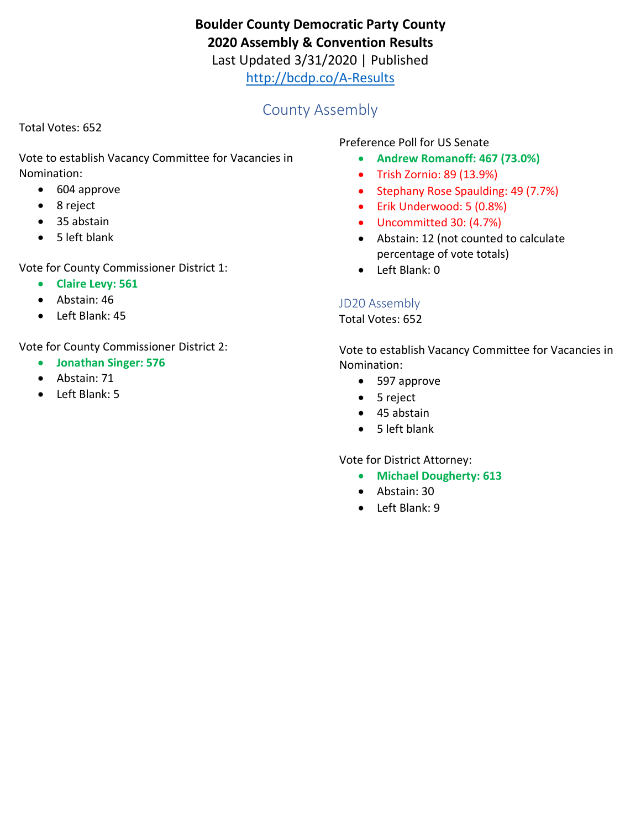# **Boulder County Democratic Party County 2020 Assembly & Convention Results**

Last Updated 3/31/2020 | Published

<http://bcdp.co/A-Results>

# County Assembly

Total Votes: 652

Vote to establish Vacancy Committee for Vacancies in Nomination:

- 604 approve
- 8 reject
- 35 abstain
- 5 left blank

Vote for County Commissioner District 1:

- **Claire Levy: 561**
- Abstain: 46
- Left Blank: 45

Vote for County Commissioner District 2:

- **Jonathan Singer: 576**
- Abstain: 71
- Left Blank: 5

Preference Poll for US Senate

- **Andrew Romanoff: 467 (73.0%)**
- Trish Zornio: 89 (13.9%)
- Stephany Rose Spaulding: 49 (7.7%)
- Erik Underwood: 5 (0.8%)
- Uncommitted 30: (4.7%)
- Abstain: 12 (not counted to calculate percentage of vote totals)
- Left Blank: 0

### JD20 Assembly

Total Votes: 652

Vote to establish Vacancy Committee for Vacancies in Nomination:

- 597 approve
- 5 reject
- 45 abstain
- 5 left blank

Vote for District Attorney:

- **Michael Dougherty: 613**
- Abstain: 30
- Left Blank: 9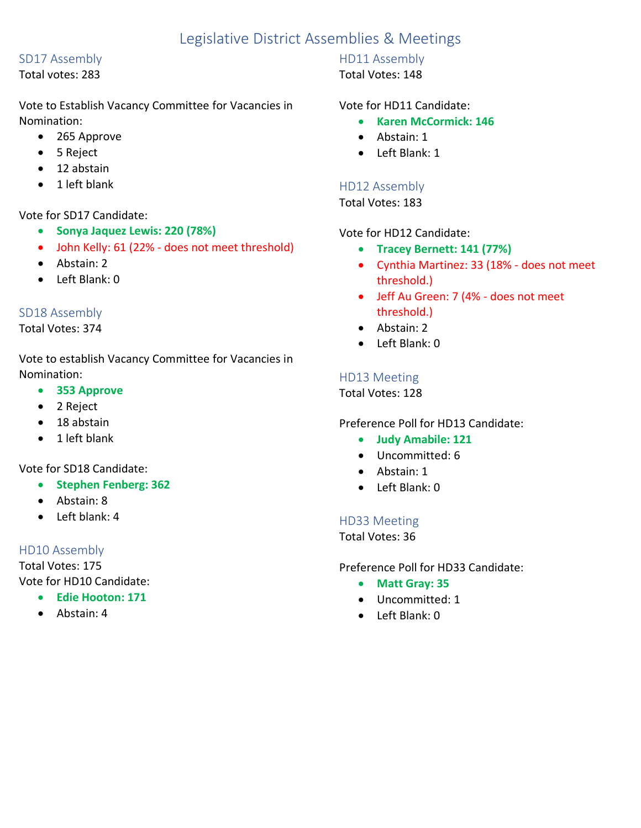# Legislative District Assemblies & Meetings

#### SD17 Assembly

Total votes: 283

Vote to Establish Vacancy Committee for Vacancies in Nomination:

- 265 Approve
- 5 Reject
- 12 abstain
- 1 left blank

#### Vote for SD17 Candidate:

- **Sonya Jaquez Lewis: 220 (78%)**
- John Kelly: 61 (22% does not meet threshold)
- Abstain: 2
- Left Blank: 0

#### SD18 Assembly

#### Total Votes: 374

Vote to establish Vacancy Committee for Vacancies in Nomination:

- **353 Approve**
- 2 Reject
- 18 abstain
- 1 left blank

Vote for SD18 Candidate:

- **Stephen Fenberg: 362**
- Abstain: 8
- Left blank: 4

### HD10 Assembly

Total Votes: 175 Vote for HD10 Candidate:

- **Edie Hooton: 171**
- Abstain: 4

## HD11 Assembly

### Total Votes: 148

#### Vote for HD11 Candidate:

- **Karen McCormick: 146**
- Abstain: 1
- Left Blank: 1

## HD12 Assembly

Total Votes: 183

Vote for HD12 Candidate:

- **Tracey Bernett: 141 (77%)**
- Cynthia Martinez: 33 (18% does not meet threshold.)
- Jeff Au Green: 7 (4% does not meet threshold.)
- Abstain: 2
- Left Blank: 0

## HD13 Meeting

Total Votes: 128

### Preference Poll for HD13 Candidate:

- **Judy Amabile: 121**
- Uncommitted: 6
- Abstain: 1
- Left Blank: 0

### HD33 Meeting

Total Votes: 36

Preference Poll for HD33 Candidate:

- **Matt Gray: 35**
- Uncommitted: 1
- Left Blank: 0